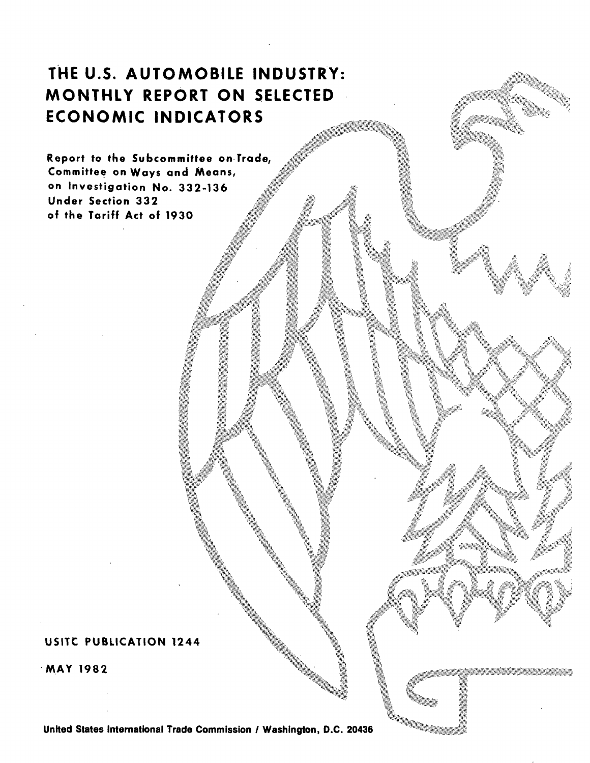# **THE U.S. AUTOMOBILE INDUSTRY: MONTHLY REPORT ON SELECTED ECONOMIC INDICATORS**

Report to the Subcommittee on. Trade, Committee on Ways and Means, on Investigation No. 332-136 Under Section 332 of the Tariff Act of 1930

# USITC PUBLICATION 1244

·MAY 1982

United States International Trade Commission / Washington, D.C. 20436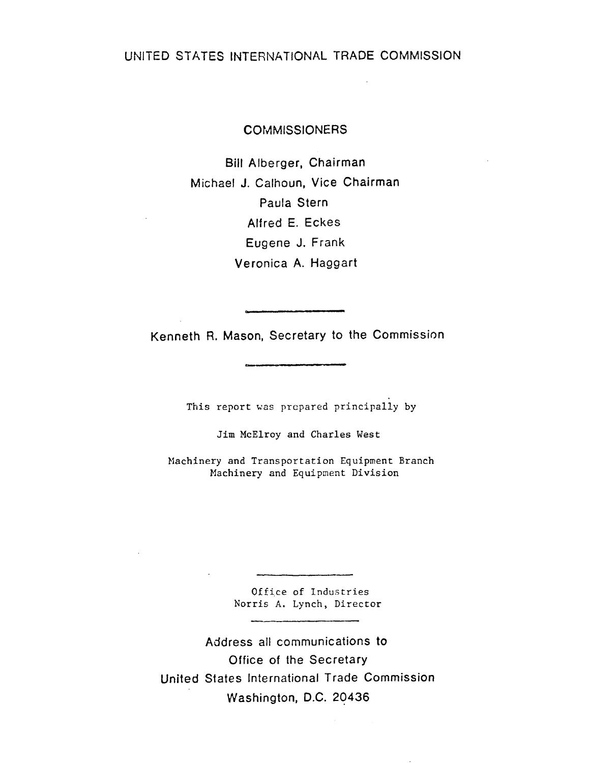# UNITED STATES INTERNATIONAL TRADE COMMISSION

# COMMISSIONERS

Bill Alberger, Chairman Michael J. Calhoun, Vice Chairman Paula Stern Alfred E. Eckes Eugene J. Frank Veronica A. Haggart

Kenneth R. Mason, Secretary to the Commission

This report was prepared principally by

Jim McElroy and Charles West

Machinery and Transportation Equipment Branch .Machinery and Equipment Division

> Office of Industries Norris A. Lynch, Director

Address all communications to Office of the Secretary United States International Trade Commission Washington, D.C. 20436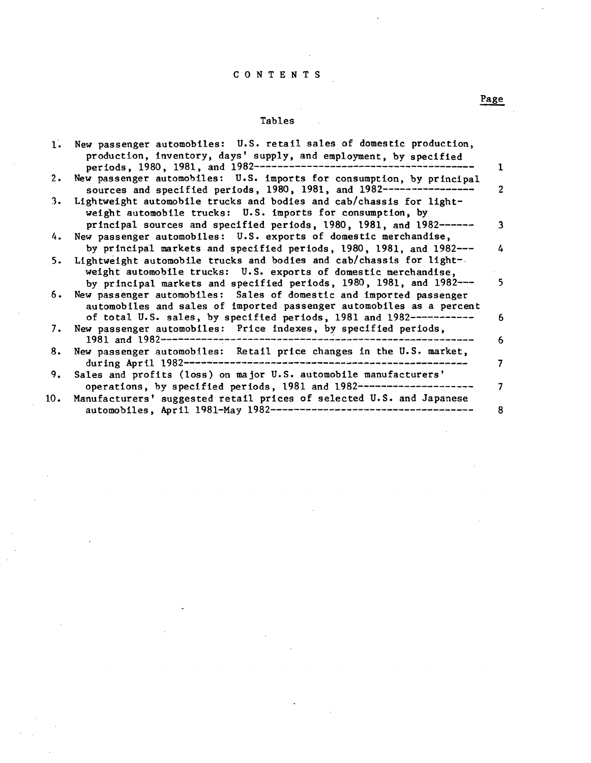# C 0 N T E N T S

 $\ddot{\phantom{a}}$ 

# Tables

 $\lambda$ 

| 1.        | New passenger automobiles: U.S. retail sales of domestic production,                                                                     |    |
|-----------|------------------------------------------------------------------------------------------------------------------------------------------|----|
|           | production, inventory, days' supply, and employment, by specified<br>periods, 1980, 1981, and 1982-----------------------------          | 1. |
| $2 \cdot$ | New passenger automobiles: U.S. imports for consumption, by principal<br>sources and specified periods, 1980, 1981, and 1982------------ | 2  |
| 3.        | Lightweight automobile trucks and bodies and cab/chassis for light-<br>weight automobile trucks: U.S. imports for consumption, by        |    |
|           | principal sources and specified periods, 1980, 1981, and 1982------                                                                      | 3  |
| 4.        | New passenger automobiles: U.S. exports of domestic merchandise,                                                                         |    |
|           | by principal markets and specified periods, 1980, 1981, and 1982---                                                                      | 4  |
| 5.        | Lightweight automobile trucks and bodies and cab/chassis for light-                                                                      |    |
|           | weight automobile trucks: U.S. exports of domestic merchandise,                                                                          |    |
|           | by principal markets and specified periods, 1980, 1981, and 1982---                                                                      | 5. |
| 6.        | New passenger automobiles: Sales of domestic and imported passenger                                                                      |    |
|           | automobiles and sales of imported passenger automobiles as a percent                                                                     |    |
|           | of total U.S. sales, by specified periods, 1981 and 1982-----------                                                                      | 6  |
| 7.        | New passenger automobiles: Price indexes, by specified periods,                                                                          |    |
|           | 1981 and 1982---------------------------------                                                                                           | 6  |
| 8.        | New passenger automobiles: Retail price changes in the U.S. market,                                                                      |    |
|           |                                                                                                                                          | 7  |
| 9.        | Sales and profits (loss) on major U.S. automobile manufacturers'                                                                         |    |
|           | operations, by specified periods, 1981 and 1982----------------------                                                                    |    |
| 10.       | Manufacturers' suggested retail prices of selected U.S. and Japanese                                                                     |    |
|           |                                                                                                                                          | 8  |

 $\ddot{\phantom{a}}$ 

 $\ddot{\phantom{a}}$ 

Page

 $\bar{.}$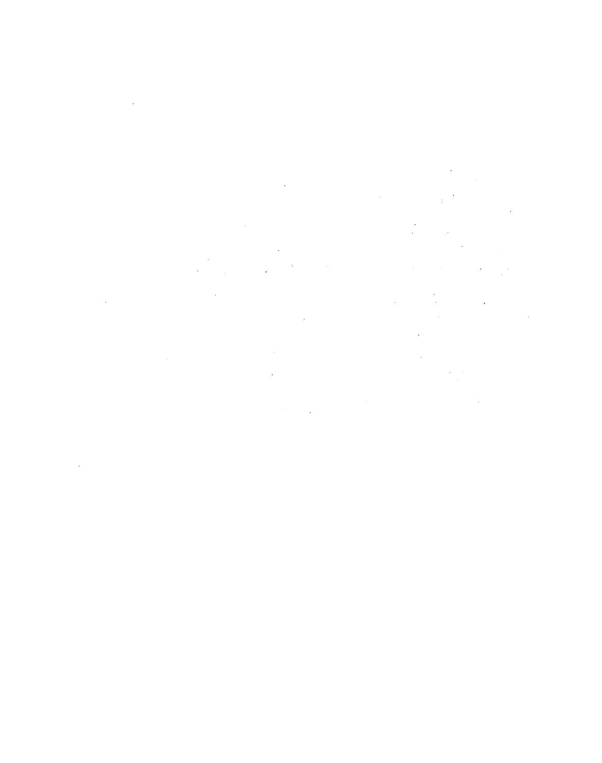$\label{eq:2.1} \mathcal{L}(\mathcal{L}^{\mathcal{L}}_{\mathcal{L}}(\mathcal{L}^{\mathcal{L}}_{\mathcal{L}})) \leq \mathcal{L}(\mathcal{L}^{\mathcal{L}}_{\mathcal{L}}(\mathcal{L}^{\mathcal{L}}_{\mathcal{L}})) \leq \mathcal{L}(\mathcal{L}^{\mathcal{L}}_{\mathcal{L}}(\mathcal{L}^{\mathcal{L}}_{\mathcal{L}}))$ 

 $\label{eq:2.1} \frac{1}{\sqrt{2}}\int_{\mathbb{R}^3}\frac{1}{\sqrt{2}}\left(\frac{1}{\sqrt{2}}\right)^2\frac{1}{\sqrt{2}}\left(\frac{1}{\sqrt{2}}\right)^2\frac{1}{\sqrt{2}}\left(\frac{1}{\sqrt{2}}\right)^2.$  $\label{eq:2.1} \frac{1}{\sqrt{2}}\left(\frac{1}{\sqrt{2}}\right)^{2} \left(\frac{1}{\sqrt{2}}\right)^{2} \left(\frac{1}{\sqrt{2}}\right)^{2} \left(\frac{1}{\sqrt{2}}\right)^{2} \left(\frac{1}{\sqrt{2}}\right)^{2} \left(\frac{1}{\sqrt{2}}\right)^{2} \left(\frac{1}{\sqrt{2}}\right)^{2} \left(\frac{1}{\sqrt{2}}\right)^{2} \left(\frac{1}{\sqrt{2}}\right)^{2} \left(\frac{1}{\sqrt{2}}\right)^{2} \left(\frac{1}{\sqrt{2}}\right)^{2} \left(\$ 

 $\mathcal{O}(\mathcal{O}(\log n))$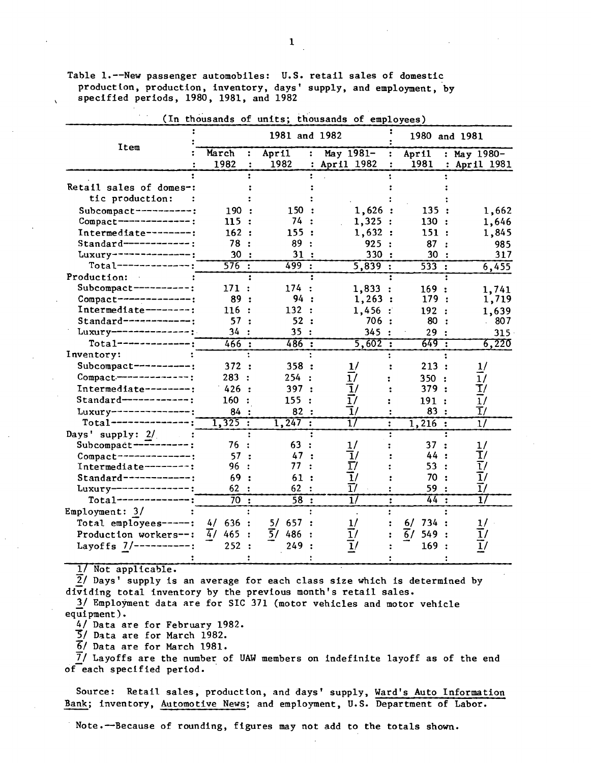Table 1.--New passenger automobiles: U.S. retail sales of domestic production, production, inventory, days' supply, and employment, by specified periods, 1980, 1981, and 1982

| Item                                                                                                                    |                      | 1981 and 1982          |                      | 1980 and 1981             |                                 |                                       |  |  |
|-------------------------------------------------------------------------------------------------------------------------|----------------------|------------------------|----------------------|---------------------------|---------------------------------|---------------------------------------|--|--|
|                                                                                                                         | March<br>1982        | April<br>1982          |                      | May 1981-<br>: April 1982 | April<br>$\ddot{\cdot}$<br>1981 | : May 1980-<br>April 1981             |  |  |
|                                                                                                                         |                      |                        |                      |                           |                                 |                                       |  |  |
| Retail sales of domes-:                                                                                                 |                      |                        |                      |                           |                                 |                                       |  |  |
| tic production:                                                                                                         |                      |                        |                      |                           |                                 |                                       |  |  |
| $Subcompact--------$ :                                                                                                  | 190                  |                        | 150:                 | 1,626:                    | 135:                            | 1,662                                 |  |  |
| $Compact \rightarrow \rightarrow \rightarrow \rightarrow \rightarrow \rightarrow \rightarrow \rightarrow \rightarrow$ : | 115                  |                        | 74:                  | 1,325:                    | 130 :                           | 1,646                                 |  |  |
| Intermediate--------:                                                                                                   | 162:                 |                        | 155:                 | 1,632:                    | 151:                            | 1,845                                 |  |  |
| $Standard-----$                                                                                                         | 78<br>$\cdot$        | 89                     | $\ddot{\cdot}$       | 925:                      | 87                              | 985                                   |  |  |
| Luxury----------------                                                                                                  | 30<br>$\mathbf{r}$   |                        | 31<br>$\mathbf{r}$   | 330                       | 30<br>$\mathbf{r}$              | 317<br>$\cdot$ :                      |  |  |
| Total-------------:                                                                                                     | 576:                 |                        | 499:                 | 5,839:                    | $\overline{533}:$               | 6,455                                 |  |  |
| Production:                                                                                                             |                      |                        | $\ddot{\phantom{a}}$ |                           | ÷                               | Ξ                                     |  |  |
| Subcompact----------:                                                                                                   | 171                  | 174                    |                      | 1,833                     | 169<br>$\cdot$ :                | 1,741                                 |  |  |
| Compact--------------;                                                                                                  | 89                   |                        | 94                   | 1,263:                    | 179                             | 1,719                                 |  |  |
| Intermediate--------:                                                                                                   | 116                  | 132                    |                      | 1,456:                    | 192                             | 1,639                                 |  |  |
| $Standard---------$                                                                                                     | 57                   |                        | 52:                  | 706:                      | 80                              | 807                                   |  |  |
| $Luxury \texttt{---} \texttt{---} \texttt{---} \texttt{---}$                                                            | 34:                  |                        | 35                   | 345:                      | 29                              | 315                                   |  |  |
| $Total-----$                                                                                                            | 466:                 |                        | 486:                 | 5,602:                    | 649                             | 6,220<br>$\mathbf{r}$                 |  |  |
| Inventory:                                                                                                              |                      |                        |                      |                           |                                 |                                       |  |  |
| Subcompact----------;                                                                                                   | 372                  |                        | 358:                 | 17                        | 213                             | $\ddot{\phantom{a}}$<br>17            |  |  |
| Compact--------------:                                                                                                  | 283                  | 254                    |                      |                           | 350:                            | 1/                                    |  |  |
| Intermediate --------:                                                                                                  | 426                  |                        | 397 :                | 1/                        | 379:                            | T/                                    |  |  |
| Standard-------------                                                                                                   | 160<br>÷             | 155                    | $\ddot{\cdot}$       | $\bar{\text{\i}}$         | 191:                            | $\overline{1}$                        |  |  |
| Luxury-------------                                                                                                     | 84                   |                        | 82:                  | ٦/                        | 83:                             | $\mathtt{T}/$                         |  |  |
| Total--------------:                                                                                                    | 1,325:               | 1,247                  |                      | $\overline{17}$           | 1,216:<br>$\ddot{\phantom{a}}$  | 1/                                    |  |  |
| Days' supply: 2/                                                                                                        |                      |                        |                      |                           |                                 |                                       |  |  |
| $Subcompact \rightarrow \rightarrow \rightarrow \rightarrow \rightarrow$                                                | 76                   | 63                     |                      | 1/                        | 37                              | 1/                                    |  |  |
| Compact-------------:                                                                                                   | 57                   |                        | 47                   | 1/                        | 44                              | T/                                    |  |  |
| Intermediate--------:                                                                                                   | 96                   | 77                     |                      | $\mathbf{T}$              | 53                              | $\bar{\text{\i}}$ /<br>$\ddot{\cdot}$ |  |  |
| Standard-----------                                                                                                     | 69                   |                        | 61                   | $\bar{\textbf{1}}$        | 70                              | $\bar{1}$ /                           |  |  |
| Luxury-------------                                                                                                     | 62                   | 62                     |                      | $\bar{1}^\prime$          | 59                              | $\bar{1}$ /                           |  |  |
| $Total-----$                                                                                                            | 70<br>$\mathbf{r}$   |                        | 58:                  | $\overline{\mathrm{17}}$  | 44<br>٠                         | $\overline{1}$<br>$\ddot{z}$          |  |  |
| Employment: $3/$                                                                                                        |                      |                        |                      |                           |                                 |                                       |  |  |
| Total employees-----:                                                                                                   | 4/<br>636 :          | 657<br>5/              |                      | 1/                        | 734<br>6/                       | 17                                    |  |  |
| Production workers--:                                                                                                   | $\frac{1}{4}$<br>465 | $\overline{5}/$<br>486 |                      | $\overline{1}$ /          | $\overline{6}$ /<br>549         |                                       |  |  |
| Layoffs $7/-$ --------                                                                                                  | 252                  | 249                    |                      | $\overline{1}$ /          | 169                             | 1/                                    |  |  |
|                                                                                                                         |                      |                        |                      |                           |                                 |                                       |  |  |

(In thousands of units; thousands of employees)

1/ Not applicable.

 $\overline{2}$ / Days' supply is an average for each class size which is determined by dividing total inventory by the previous month's retail sales.

 $3/$  Employment data are for SIC 371 (motor vehicles and motor vehicle  $equi$ pment).

4/ Data are for February 1982.

 $\overline{5}$ / Data are for March 1982.

*6!* Data are for March 1981.

 $7/$  Layoffs are the number of UAW members on indefinite layoff as of the end of each specified period.

Source: Retail sales, productlon, and days' supply, Ward's Auto Information Bank; inventory, Automotive News; and employment, U.S. Department of Labor.

Note.--Because of rounding, figures may not add to the totals shown.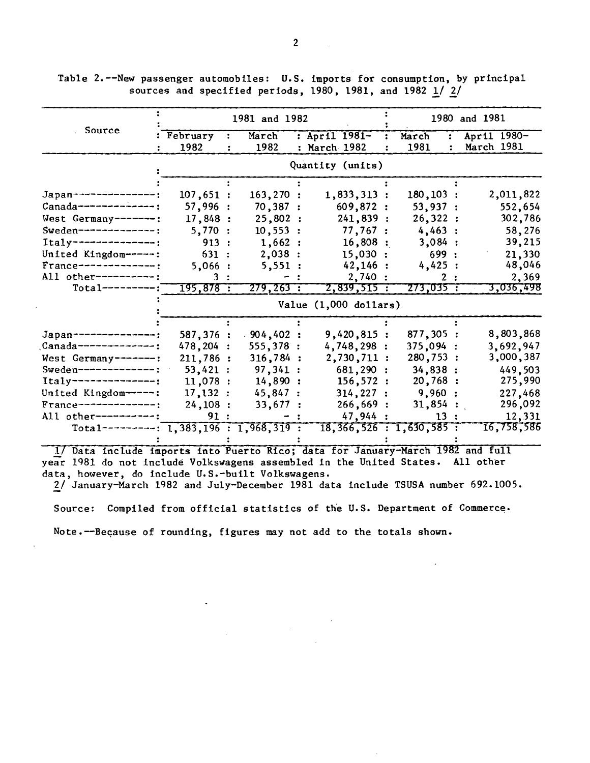Table 2.--New passenger automobiles: U.S. imports for consumption, by principal sources and specified periods, 1980, 1981, and 1982 1/ 2/

|                                                                                                                                 |           | 1981 and 1982 |                  |                         | 1980 and 1981  |           |  |                      |  |  |
|---------------------------------------------------------------------------------------------------------------------------------|-----------|---------------|------------------|-------------------------|----------------|-----------|--|----------------------|--|--|
| Source                                                                                                                          | February  | March         |                  | : April 1981-           |                | March     |  | April 1980-          |  |  |
|                                                                                                                                 | 1982      | 1982          |                  | : March 1982            |                | 1981      |  | March 1981           |  |  |
|                                                                                                                                 |           |               | Quantity (units) |                         |                |           |  |                      |  |  |
|                                                                                                                                 |           |               |                  |                         |                |           |  |                      |  |  |
| $Japan-----$                                                                                                                    | 107,651:  | 163, 270:     |                  | 1,833,313               |                | 180, 103: |  | 2,011,822            |  |  |
| Canada-------------:                                                                                                            | 57,996:   |               | 70,387:          | 609,872                 |                | 53,937:   |  | 552,654              |  |  |
| West Germany-------:                                                                                                            | 17,848:   |               | 25,802:          | 241,839:                |                | 26,322:   |  | 302,786              |  |  |
| Sweden--------------:                                                                                                           | 5,770:    |               | 10,553:          | 77,767:                 |                | 4,463:    |  | 58,276               |  |  |
| $Ital y------$                                                                                                                  | 913:      |               | 1,662:           | 16,808:                 |                | 3,084:    |  | 39,215               |  |  |
| United Kingdom-----:                                                                                                            | 631:      |               | 2,038:           | 15,030                  |                | 699 :     |  | 21,330               |  |  |
| $Frame \rightarrow \rightarrow \rightarrow \rightarrow \rightarrow \rightarrow \rightarrow \rightarrow \rightarrow \rightarrow$ | 5,066:    |               | 5,551            | 42,146                  |                | 4,425:    |  | 48,046               |  |  |
| All other----------:                                                                                                            | 3         |               |                  | 2,740                   |                | 2:        |  | 2,369                |  |  |
| $Total-----:$                                                                                                                   | 195,878 F | 279,263:      |                  | 2,839,515 <del>:</del>  |                | 273,035 : |  | <del>3,036,498</del> |  |  |
|                                                                                                                                 |           |               |                  | Value $(1,000$ dollars) |                |           |  |                      |  |  |
|                                                                                                                                 |           |               |                  |                         |                |           |  |                      |  |  |
| Japan---------------;                                                                                                           | 587,376 : | 904,402:      |                  | 9,420,815:              |                | 877,305 : |  | 8,803,868            |  |  |
| $Canada-----------$                                                                                                             | 478,204 : | 555,378:      |                  | 4,748,298               |                | 375,094:  |  | 3,692,947            |  |  |
| West Germany-------:                                                                                                            | 211,786:  | 316,784:      |                  | 2,730,711 :             |                | 280,753 : |  | 3,000,387            |  |  |
| Sweden------------                                                                                                              | 53,421:   |               | 97,341:          | 681,290                 |                | 34,838:   |  | 449,503              |  |  |
| $Itally --- --- --- --- - 2.$                                                                                                   | 11,078:   | 14,890        | $\cdot$ :        | 156,572                 | $\cdot$ :      | 20,768:   |  | 275,990              |  |  |
| United Kingdom-----:                                                                                                            | 17,132:   |               | 45,847 :         | $314, 227$ :            |                | 9,960:    |  | 227,468              |  |  |
| $Frame----------$                                                                                                               | 24,108:   | 33,677        |                  | 266,669                 | $\ddot{\cdot}$ | 31,854:   |  | 296,092              |  |  |
| All other----------:                                                                                                            | 91:       |               |                  | 47,944                  |                | 13:       |  | 12,331               |  |  |
| Total---------: 1,383,196 : 1,968,319                                                                                           |           |               |                  | 18, 366, 526            |                | 1,630,585 |  | <u>16,758,586</u>    |  |  |

1/ Data include imports into Puerto Rico; data for January-March 1982 and full year 1981 do not include Volkswagens assembled in the United States. All other data, however, do include U.S.-built Volkswagens.

2/ January-March 1982 and July-December 1981 data include TSUSA number 692.1005.

Source: Compiled from official statistics of the U.S. Department of Commerce.

Note.--Because of rounding, figures may not add to the totals shown.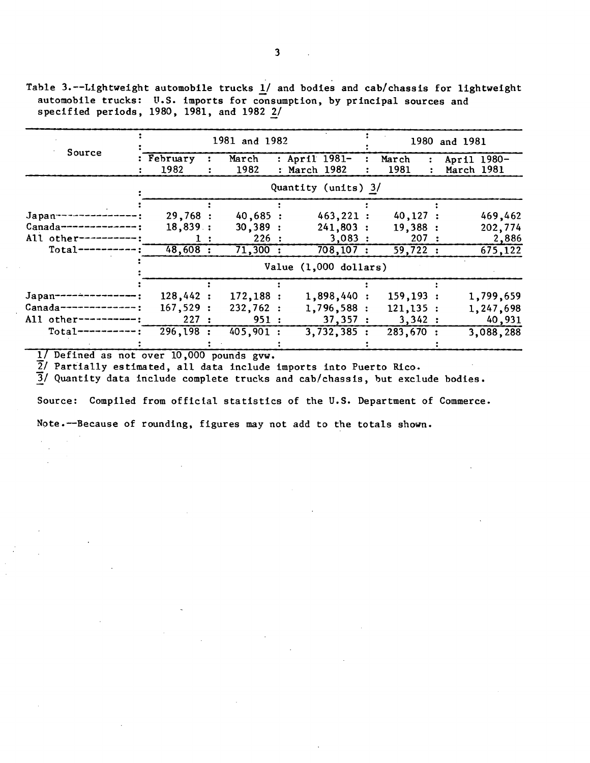Table 3.--Lightweight automobile trucks  $1/$  and bodies and cab/chassis for lightweight automobile trucks: U.S. imports for consumption, by principal sources and specified periods,  $1980$ ,  $1981$ , and  $1982$   $2/$ 

|                    |              |                     | 1981 and 1982 |  |                         |              |                       |  | 1980 and 1981 |  |  |  |  |  |
|--------------------|--------------|---------------------|---------------|--|-------------------------|--------------|-----------------------|--|---------------|--|--|--|--|--|
| Source             | : February   |                     | March         |  | : April 1981-           | $\mathbf{r}$ | March                 |  | April 1980-   |  |  |  |  |  |
|                    | 1982         |                     | 1982          |  | : March 1982            |              | 1981                  |  | March 1981    |  |  |  |  |  |
|                    |              | Quantity (units) 3/ |               |  |                         |              |                       |  |               |  |  |  |  |  |
|                    |              |                     |               |  |                         |              |                       |  |               |  |  |  |  |  |
| $Japan-$           | 29,768:      |                     | 40,685:       |  | 463,221:                |              | $40,127$ :            |  | 469,462       |  |  |  |  |  |
| $Canada---$        | 18,839:      |                     | 30,389:       |  | $241,803$ :             |              | 19,388 :              |  | 202,774       |  |  |  |  |  |
| All other-         | 1:           |                     | 226:          |  | 3,083:                  |              | 207:                  |  | 2,886         |  |  |  |  |  |
| $Total---$         | $48,608$ :   |                     | 71,300:       |  | $708, 107$ :            |              | $\overline{59,722}$ : |  | 675, 122      |  |  |  |  |  |
|                    |              |                     |               |  | Value $(1,000$ dollars) |              |                       |  |               |  |  |  |  |  |
|                    |              |                     |               |  |                         |              |                       |  |               |  |  |  |  |  |
| $Japan---$         | 128,442:     |                     | 172, 188:     |  | 1,898,440:              |              | 159, 193:             |  | 1,799,659     |  |  |  |  |  |
| $Canada-----$      | 167,529:     |                     | 232,762:      |  | 1,796,588:              |              | 121, 135:             |  | 1,247,698     |  |  |  |  |  |
| All other- $\cdot$ | 227:         |                     | 951:          |  | 37,357:                 |              | 3,342:                |  | 40,931        |  |  |  |  |  |
| $Total-----$       | $296, 198$ : |                     | 405,901 :     |  | 3,732,385:              |              | 283,670 :             |  | 3,088,288     |  |  |  |  |  |
|                    |              |                     |               |  |                         |              |                       |  |               |  |  |  |  |  |

1/ Defined as not over 10,000 pounds gvw.

 $\overline{2}$ / Partially estimated, all data include imports into Puerto Rico.

 $\overline{3}$ / Quantity data include complete trucks and cab/chassis, but exclude bodies.

Source: Compiled from official statistics of the U.S. Department of Commerce.

Note.--Because of rounding, figures may not add to the totals shown.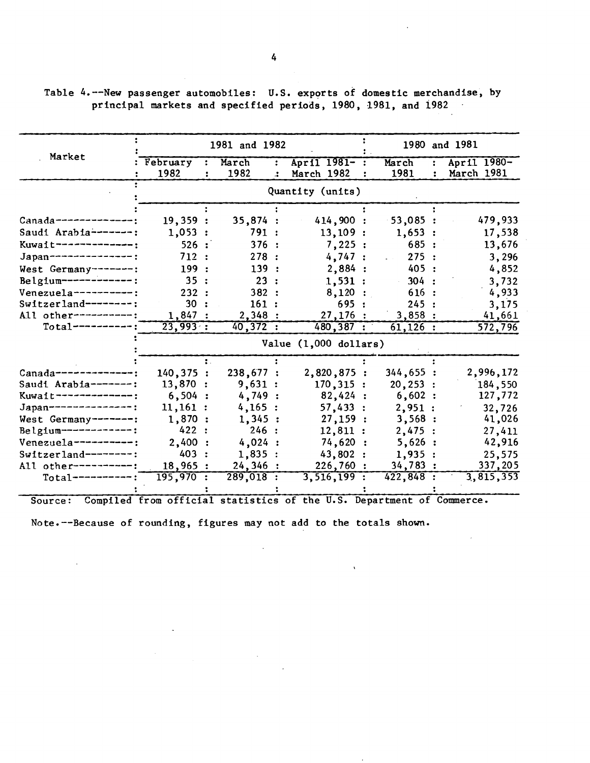|                         |                                  | 1981 and 1982 |                |                                                                       |                |             |           | 1980 and 1981 |
|-------------------------|----------------------------------|---------------|----------------|-----------------------------------------------------------------------|----------------|-------------|-----------|---------------|
| Market                  | February<br>$\ddot{\phantom{a}}$ | March         | $\ddot{\cdot}$ | April 1981-:                                                          |                | March       |           | April 1980-   |
|                         | 1982<br>$\ddot{\phantom{a}}$     | 1982          | ż              | March 1982                                                            |                | 1981        | $\bullet$ | March 1981    |
|                         |                                  |               |                | Quantity (units)                                                      |                |             |           |               |
|                         |                                  |               |                |                                                                       |                |             |           |               |
| $Canada------------:$   | 19,359:                          | 35,874:       |                | 414,900:                                                              |                | $-53,085$ : |           | 479,933       |
| Saudi Arabia-------:    | 1,053:                           | 791 :         |                | 13,109:                                                               |                | 1,653:      |           | 17,538        |
| Kuwait--------------    | 526:                             | 376:          |                | 7,225:                                                                |                | 685:        |           | 13,676        |
| Japan-------------      | 712:                             | 278:          |                | 4,747:                                                                |                | 275:        |           | 3,296         |
| West Germany-------:    | 199:                             | 139:          |                | 2,884:                                                                |                | 405 :       |           | 4,852         |
| $Belgium-------------:$ | 35:                              | 23:           |                | 1,531:                                                                |                | 304 :       |           | 3,732         |
| Venezuela ----------:   | 232:                             | 382 :         |                | 8,120:                                                                |                | 616:        |           | 4,933         |
| Switzerland--------:    | 30:                              | 161:          |                | 695:                                                                  |                | 245:        |           | 3,175         |
| All other----------:    | 1,847:                           | 2,348:        |                | 27,176:                                                               |                | 3,858:      |           | 41,661        |
| $Total-----$ :          | 23,993:                          | 40,372:       |                | 480, 387:                                                             |                | $61,126$ :  |           | 572,796       |
|                         |                                  |               |                | Value (1,000 dollars)                                                 |                |             |           |               |
|                         |                                  |               |                |                                                                       |                |             |           |               |
| $Canada-----$           | 140,375 :                        | 238,677:      |                | 2,820,875 :                                                           |                | 344,655:    |           | 2,996,172     |
| Saudi Arabia-------:    | 13,870:                          | 9,631:        |                | 170, 315:                                                             |                | 20, 253:    |           | 184,550       |
| Kuwait-------------:    | 6,504:                           | 4,749:        |                | 82,424:                                                               |                | 6,602:      |           | 127,772       |
| Japan--------------;    | 11,161:                          | 4,165:        |                | 57,433:                                                               |                | 2,951:      |           | 32,726        |
| West Germany-------:    | 1,870:                           | 1,345:        |                | 27,159:                                                               |                | 3,568:      |           | 41,026        |
| $Belgium--------$       | 422 :                            | 246:          |                | 12,811:                                                               |                | 2,475:      |           | 27,411        |
| $Venezuela-----:$       | 2,400:                           | 4,024:        |                | 74,620                                                                | $\ddot{\cdot}$ | 5,626:      |           | 42,916        |
| Switzerland--------:    | 403 :                            | 1,835:        |                | 43,802:                                                               |                | 1,935:      |           | 25,575        |
| All other----------:    | 18,965:                          | 24,346:       |                | 226,760:                                                              |                | 34,783 :    |           | 337,205       |
| $Total-----:$           | $195,970$ :                      | $289,018$ :   |                | 3,516,199:                                                            |                | 422,848:    |           | 3,815,353     |
|                         |                                  |               |                |                                                                       |                |             |           |               |
| <b>Source:</b>          |                                  |               |                | Compiled from official statistics of the U.S. Department of Commerce. |                |             |           |               |

Table 4.--New passenger automobiles: U.S. exports of domestic merchandise, by principal markets and specified periods, 1980, 1981, and i982  $\sim$ 

 $\cdot$ 

 $\label{eq:2.1} \frac{1}{2} \sum_{i=1}^n \frac{1}{2} \sum_{j=1}^n \frac{1}{2} \sum_{j=1}^n \frac{1}{2} \sum_{j=1}^n \frac{1}{2} \sum_{j=1}^n \frac{1}{2} \sum_{j=1}^n \frac{1}{2} \sum_{j=1}^n \frac{1}{2} \sum_{j=1}^n \frac{1}{2} \sum_{j=1}^n \frac{1}{2} \sum_{j=1}^n \frac{1}{2} \sum_{j=1}^n \frac{1}{2} \sum_{j=1}^n \frac{1}{2} \sum_{j=1}^n \frac{$ 

 $\sim$ 

Note.--Because of rounding, figures may not add to the totals shown.

 $\sim 10^{-1}$ 

 $\sim 10^{-1}$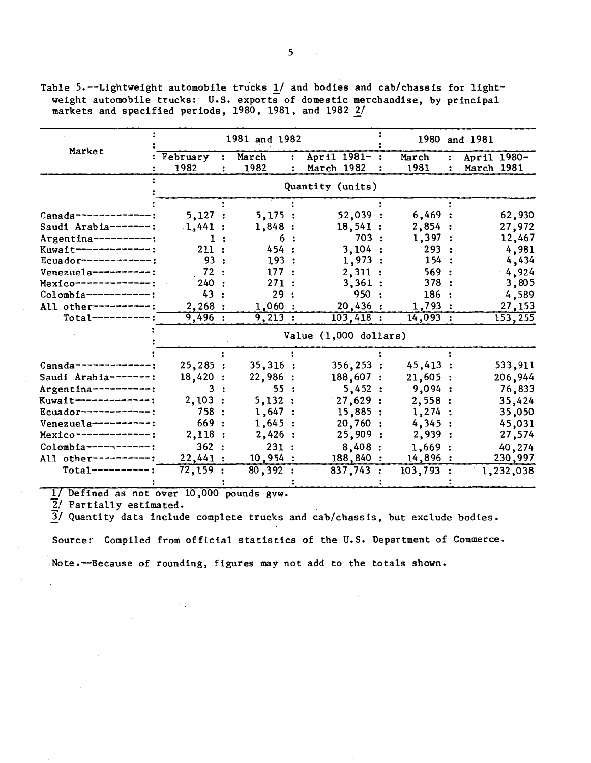Table 5.--Lightweight automobile trucks  $1/$  and bodies and cab/chassis for lightweight automobile trucks: U.S. exports of domestic merchandise, by principal markets and specified periods,  $1980$ ,  $1981$ , and  $1982$   $2/$ 

|                         |                |                | 1981 and 1982           |                         |                                                                                                                                                                                                                                                                                                                                                                                                                                                                                                                             |       |  |            |  |  |  |  |  |  |
|-------------------------|----------------|----------------|-------------------------|-------------------------|-----------------------------------------------------------------------------------------------------------------------------------------------------------------------------------------------------------------------------------------------------------------------------------------------------------------------------------------------------------------------------------------------------------------------------------------------------------------------------------------------------------------------------|-------|--|------------|--|--|--|--|--|--|
| Market                  | February       | $\ddot{\cdot}$ | March<br>$\ddot{\cdot}$ | April 1981-             |                                                                                                                                                                                                                                                                                                                                                                                                                                                                                                                             | March |  |            |  |  |  |  |  |  |
|                         | 1982           |                | 1982                    | March 1982              |                                                                                                                                                                                                                                                                                                                                                                                                                                                                                                                             | 1981  |  | March 1981 |  |  |  |  |  |  |
|                         |                |                |                         | Quantity (units)        |                                                                                                                                                                                                                                                                                                                                                                                                                                                                                                                             |       |  |            |  |  |  |  |  |  |
|                         |                |                |                         |                         |                                                                                                                                                                                                                                                                                                                                                                                                                                                                                                                             |       |  |            |  |  |  |  |  |  |
| $Canada$ -------------: | 5,127:         |                | 5,175:                  |                         |                                                                                                                                                                                                                                                                                                                                                                                                                                                                                                                             |       |  | 62,930     |  |  |  |  |  |  |
| Saudi Arabia-------:    | .1,441:        |                | 1,848:                  |                         |                                                                                                                                                                                                                                                                                                                                                                                                                                                                                                                             |       |  | 27,972     |  |  |  |  |  |  |
| Argentina----------:    |                |                | 6                       |                         |                                                                                                                                                                                                                                                                                                                                                                                                                                                                                                                             |       |  | 12,467     |  |  |  |  |  |  |
| Kuwait--------------:   | 211:           |                | 454:                    | 3,104                   | $\mathbf{r}$                                                                                                                                                                                                                                                                                                                                                                                                                                                                                                                |       |  |            |  |  |  |  |  |  |
| Ecuador-----------:     | 93:            |                | 193:                    |                         |                                                                                                                                                                                                                                                                                                                                                                                                                                                                                                                             |       |  | 4,434      |  |  |  |  |  |  |
| Venezuela----------:    | 72:            |                | 177:                    | 2,311                   |                                                                                                                                                                                                                                                                                                                                                                                                                                                                                                                             |       |  | 4,924      |  |  |  |  |  |  |
| $Mexico$ ------------   | 240:           |                | 271:                    |                         |                                                                                                                                                                                                                                                                                                                                                                                                                                                                                                                             |       |  | 3,805      |  |  |  |  |  |  |
| $Colomb1a-----$         | 43             |                | 29:                     |                         |                                                                                                                                                                                                                                                                                                                                                                                                                                                                                                                             |       |  | 4,589      |  |  |  |  |  |  |
| All other----------;    | 2,268:         |                | 1,060:                  |                         |                                                                                                                                                                                                                                                                                                                                                                                                                                                                                                                             |       |  | 27,153     |  |  |  |  |  |  |
| $Total-----$            | 9,496:         |                | 9,213:                  | $103,418$ :             |                                                                                                                                                                                                                                                                                                                                                                                                                                                                                                                             |       |  |            |  |  |  |  |  |  |
|                         |                |                |                         | Value $(1,000$ dollars) | 1980 and 1981<br>April 1980-<br>52,039:<br>6,469:<br>18,541:<br>2,854:<br>703:<br>1,397:<br>293:<br>4,981<br>1,973<br>154 :<br>569:<br>3,361:<br>378:<br>950<br>186:<br>20,436:<br>1,793:<br>$\overline{14}$ ,093:<br>153,255<br>356, 253:<br>45,413:<br>533,911<br>21,605:<br>206,944<br>5,452<br>9,094:<br>76,833<br>2,558:<br>35,424<br>15,885:<br>1,274:<br>35,050<br>4,345:<br>45,031<br>$\ddot{\cdot}$<br>2,939:<br>27,574<br>8,408:<br>1,669:<br>40,274<br>188, 840:<br>14,896:<br>230,997<br>103,793 :<br>1,232,038 |       |  |            |  |  |  |  |  |  |
|                         |                |                |                         |                         |                                                                                                                                                                                                                                                                                                                                                                                                                                                                                                                             |       |  |            |  |  |  |  |  |  |
| $Canada-----$           | 25,285:        |                | 35,316:                 |                         |                                                                                                                                                                                                                                                                                                                                                                                                                                                                                                                             |       |  |            |  |  |  |  |  |  |
| Saudi Arabia-------:    | 18,420:        |                | 22,986:                 | 188,607                 |                                                                                                                                                                                                                                                                                                                                                                                                                                                                                                                             |       |  |            |  |  |  |  |  |  |
| $Argentina-----$        | 3 <sup>1</sup> |                | 55:                     |                         |                                                                                                                                                                                                                                                                                                                                                                                                                                                                                                                             |       |  |            |  |  |  |  |  |  |
| Kuwait-------------:    | 2,103:         |                | 5,132:                  | 27,629:                 |                                                                                                                                                                                                                                                                                                                                                                                                                                                                                                                             |       |  |            |  |  |  |  |  |  |
| Ecuador------------:    | 758:           |                | 1,647:                  |                         |                                                                                                                                                                                                                                                                                                                                                                                                                                                                                                                             |       |  |            |  |  |  |  |  |  |
| $Venezuela--------:$    | 669 :          |                | 1,645:                  | 20,760                  |                                                                                                                                                                                                                                                                                                                                                                                                                                                                                                                             |       |  |            |  |  |  |  |  |  |
| $Mexico$ ------------;  | 2,118:         |                | 2,426:                  | 25,909                  |                                                                                                                                                                                                                                                                                                                                                                                                                                                                                                                             |       |  |            |  |  |  |  |  |  |
| $Colomb1a-----$         | 362 :          |                | 231:                    |                         |                                                                                                                                                                                                                                                                                                                                                                                                                                                                                                                             |       |  |            |  |  |  |  |  |  |
| All other----------     | 22,441:        |                | 10,954:                 |                         |                                                                                                                                                                                                                                                                                                                                                                                                                                                                                                                             |       |  |            |  |  |  |  |  |  |
| $Total-----$            | 72, 159:       |                | 80,392:                 | 837,743 :               |                                                                                                                                                                                                                                                                                                                                                                                                                                                                                                                             |       |  |            |  |  |  |  |  |  |
|                         |                |                |                         |                         |                                                                                                                                                                                                                                                                                                                                                                                                                                                                                                                             |       |  |            |  |  |  |  |  |  |

1/ Defined as not over 10,000 pounds gvw.

2/ Partially estimated.

 $\sim 100$ 

 $\overline{3}$ / Quantity data include complete trucks and cab/chassis, but exclude bodies.

Source: Compiled from official statistics of the U.S. Department of Commerce.

Note.~Because of rounding, figures may not add to the totals shown.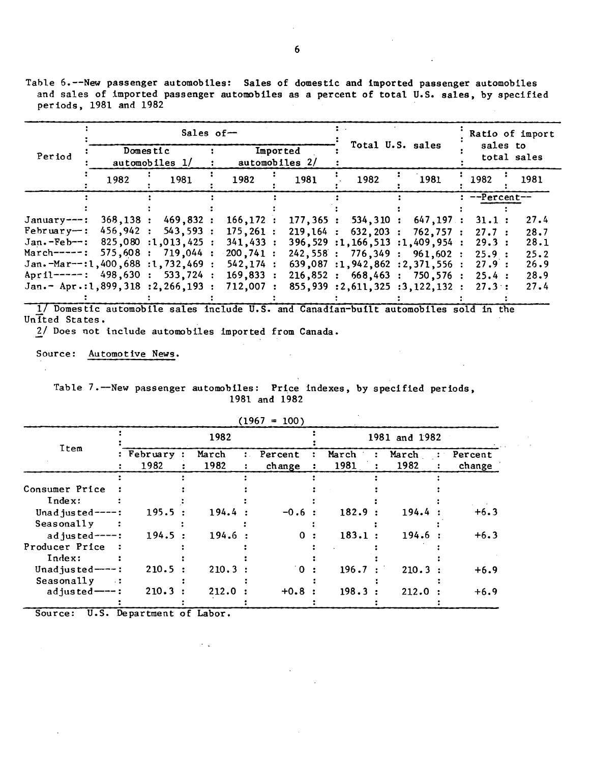Table 6.--New passenger automobiles: Sales of domestic and imported passenger automobiles and sales of imported passenger automobiles as a percent of total U.S. sales, by specified periods, 1981 and 1982

| Period                                                                                                                                                                   |                                    | Sales of $-$<br>Domestic<br>$automobiles$ 1/                          | Imported<br>automobiles $2/$                                                       |                      |                            | Total U.S. sales                                                                                                                                                                                      | sales to                                                        | Ratio of import<br>total sales                       |  |
|--------------------------------------------------------------------------------------------------------------------------------------------------------------------------|------------------------------------|-----------------------------------------------------------------------|------------------------------------------------------------------------------------|----------------------|----------------------------|-------------------------------------------------------------------------------------------------------------------------------------------------------------------------------------------------------|-----------------------------------------------------------------|------------------------------------------------------|--|
|                                                                                                                                                                          | 1982                               | 1981                                                                  | 1982                                                                               | 1981                 | 1982                       | 1981                                                                                                                                                                                                  | 1982                                                            | 1981                                                 |  |
|                                                                                                                                                                          |                                    |                                                                       |                                                                                    |                      |                            |                                                                                                                                                                                                       | $:$ --Percent--                                                 |                                                      |  |
| $January---:$<br>$F$ ebruary--:<br>$Jan.-Feb--:$<br>$March---$ :<br>Jan. $-Mar--:1,400,688:1,732,469:$<br>April -----: $498,630$ :<br>Jan. - Apr.:1,899,318 :2,266,193 : | 368, 138:<br>456,942 :<br>575,608: | 469,832:<br>543, 593:<br>825,080 :1,013,425 :<br>719,044:<br>533,724: | 166, 172:<br>175,261:<br>341,433:<br>200, 741:<br>542, 174:<br>169,833:<br>712,007 | 177,365:<br>219,164: | $534, 310$ :<br>632, 203 : | 647, 197:<br>762.757 :<br>$396, 529$ :1, 166, 513 :1, 409, 954 :<br>242,558:776,349:961,602:<br>639,087 :1,942,862 :2,371,556 :<br>216,852 : 668,463 : 750,576 :<br>855,939 : 2,611,325 : 3,122,132 : | 31.1:<br>27.7 :<br>29.3:<br>25.9:<br>27.9:<br>25.4:<br>$27.3$ : | 27.4<br>28.7<br>28.1<br>25.2<br>26.9<br>28.9<br>27.4 |  |
|                                                                                                                                                                          |                                    |                                                                       |                                                                                    |                      |                            |                                                                                                                                                                                                       |                                                                 |                                                      |  |

1/ Domestic automobile sales include U.S. and Canadian-built automobiles sold in the United States.

2/ Does not include automobiles imported from Canada.

Source: Automotive News.

Table 7.-New passenger automobiles: Price indexes, by specified periods, 1981 and 1982

|                          |              |      |           | , _ _ v ,     | ,            |  |       |  |           |  |         |
|--------------------------|--------------|------|-----------|---------------|--------------|--|-------|--|-----------|--|---------|
|                          |              | 1982 |           | 1981 and 1982 |              |  |       |  |           |  |         |
| Item                     | : February : |      | March     | $\mathbf{L}$  | Percent      |  | March |  | March     |  | Percent |
|                          | 1982         |      | 1982      |               | change       |  | 1981  |  | 1982      |  | change  |
|                          |              |      |           |               |              |  |       |  |           |  |         |
| Consumer Price           |              |      |           |               |              |  |       |  |           |  |         |
| Index:                   |              |      |           |               |              |  |       |  |           |  |         |
| Unadjusted ----:         | 195.5:       |      | 194.4:    |               | $-0.6$ :     |  | 182.9 |  | 194.4     |  | $+6.3$  |
| Seasonally               |              |      |           |               |              |  |       |  |           |  |         |
| adjusted-                | 194.5        |      | 194.6:    |               | 0.           |  | 183.1 |  | 194.6     |  | $+6.3$  |
| Producer Price           |              |      |           |               |              |  |       |  |           |  |         |
| Index:                   |              |      |           |               |              |  |       |  |           |  |         |
| Unadjusted- $-$ -:       | 210.5        |      | $210.3$ : |               | $^{\circ}$ 0 |  | 196.7 |  | $210.3$ : |  | $+6.9$  |
| Seasonally<br>$\cdot$ :  |              |      |           |               |              |  |       |  |           |  |         |
| $adjusted--:$            | 210.3        |      | 212.0     |               | $+0.8$       |  | 198.3 |  | 212.0     |  | $+6.9$  |
|                          |              |      |           |               |              |  |       |  |           |  |         |
| $\overline{\phantom{a}}$ |              |      | ---       |               |              |  |       |  |           |  |         |

 $(1967 - 100)$ 

 $\sim 10$ 

Source: U.S. Department of Labor.

 $\sim 10$ 

6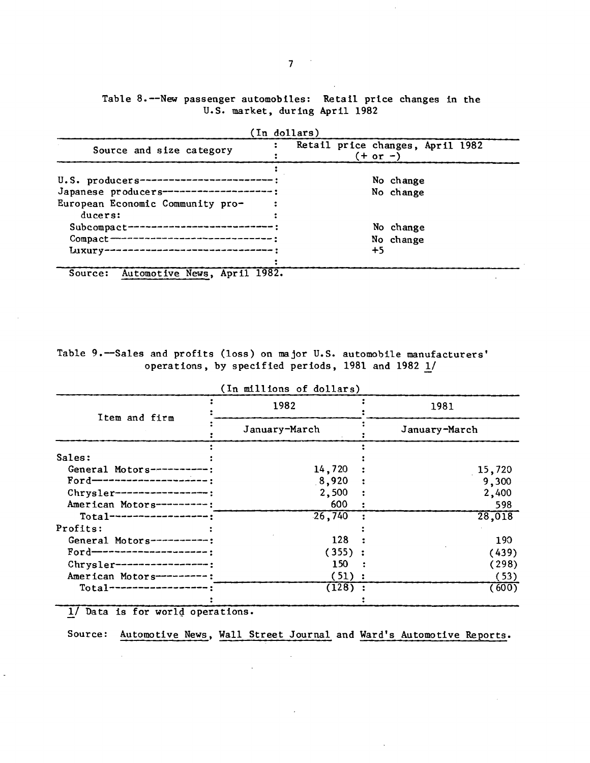## Table 8.--New passenger automobiles: Retail price changes in the U.S. market, during April 1982

|                                                                                                      | (In dollars)                                 |
|------------------------------------------------------------------------------------------------------|----------------------------------------------|
| Source and size category                                                                             | Retail price changes, April 1982<br>(+ or -) |
| U.S. producers---------<br>Japanese producers--------<br>European Economic Community pro-<br>ducers: | No change<br>No change                       |
| $Subcompact-$<br>Compact ------------------------------;<br>$Luxury--$                               | No change<br>No change<br>+5                 |
| Automotive News, April 1982.<br>Source:                                                              |                                              |

Table 9.--Sales and profits (loss) on major U.S. automobile manufacturers' operations, by specified periods, 1981 and 1982 1/

|                                                                           | (In millions of dollars) |               |  |  |  |  |
|---------------------------------------------------------------------------|--------------------------|---------------|--|--|--|--|
| Item and firm                                                             | 1982                     | 1981          |  |  |  |  |
|                                                                           | January-March            | January-March |  |  |  |  |
| Sales:                                                                    |                          |               |  |  |  |  |
| General Motors----------:                                                 | 14,720                   | 15,720        |  |  |  |  |
| $For d \text{---} \text{---} \text{---} \text{---} \text{---} \text{---}$ | 8,920                    | 9,300         |  |  |  |  |
| $Chrysler----------------$                                                | 2,500                    | 2,400         |  |  |  |  |
| American Motors---------                                                  | 600                      | 598           |  |  |  |  |
| $Total$ ----------------                                                  | .26, 740                 | 28,018        |  |  |  |  |
| Profits:                                                                  |                          |               |  |  |  |  |
| General Motors--------                                                    | 128                      | 190           |  |  |  |  |
| Ford------------------                                                    | $(355)$ :                | (439)         |  |  |  |  |
| $Chrys1er------------$                                                    | 150                      | (298)         |  |  |  |  |
| American Motors-------                                                    | (51):                    | (53)          |  |  |  |  |
| $Total-$                                                                  | $(128)$ :                | (600)         |  |  |  |  |
|                                                                           |                          |               |  |  |  |  |

1/ Data is for worlg operations.

 $\bar{z}$ 

 $\ddot{\phantom{0}}$ 

Source: Automotive News, Wall Street Journal and Ward's Automotive Reports.

 $\ddot{\phantom{a}}$ 

 $\hat{\mathcal{A}}$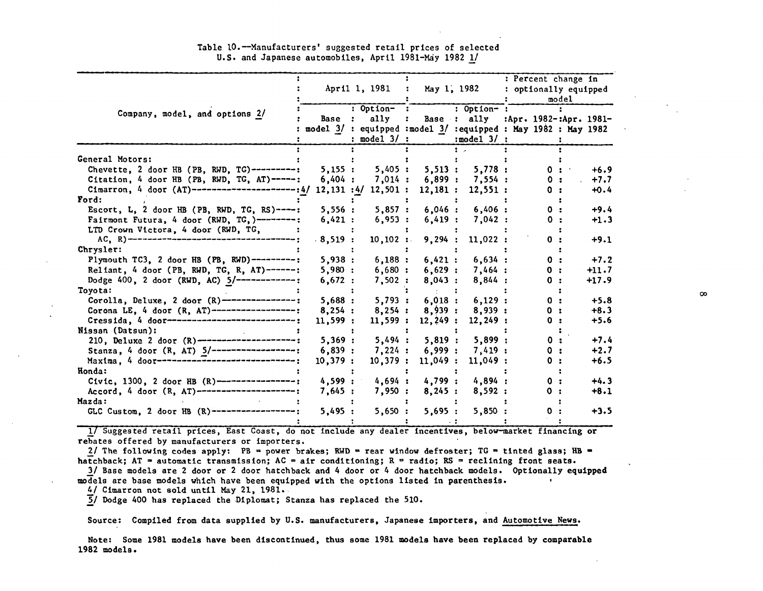|                                                                                             |         | April 1, 1981<br>May 1, 1982             |         |                                                        | : Percent change in<br>: optionally equipped<br>model                                |              |  |  |  |
|---------------------------------------------------------------------------------------------|---------|------------------------------------------|---------|--------------------------------------------------------|--------------------------------------------------------------------------------------|--------------|--|--|--|
| Company, model, and options 2/                                                              | Base :  | $:$ Option- $:$<br>ally<br>$: model$ 3/: |         | $:$ Option- $:$<br>Base : ally<br>$: \text{model}$ 3/: | :Apr. 1982-:Apr. 1981-<br>model 3/: equipped: model 3/: equipped: May 1982: May 1982 |              |  |  |  |
|                                                                                             |         |                                          |         |                                                        |                                                                                      |              |  |  |  |
| General Motors:                                                                             |         |                                          |         |                                                        |                                                                                      |              |  |  |  |
| Chevette, 2 door HB (PB, RWD, $TG$ )----------:                                             | 5,155:  | 5,405:                                   | 5,513:  | 5,778:                                                 |                                                                                      | 0:<br>$+6.9$ |  |  |  |
| Citation, 4 door HB (PB, RWD, TG, AT)-----:                                                 | 6,404:  | 7,014:                                   | 6,899:  | 7,554:                                                 | 0:                                                                                   | $+7.7$       |  |  |  |
| Cimarron, 4 door (AT)------------------------; 4/ 12,131 :4/ 12,501 :<br>Ford:              |         |                                          | 12,181: | 12,551:                                                | 0:                                                                                   | $+0.4$       |  |  |  |
|                                                                                             | 5.556:  | 5.857:                                   | 6.046:  | 6,406:                                                 | 0:                                                                                   | $+9.4$       |  |  |  |
| Escort, L, 2 door HB (PB, RWD, TG, RS)-----:                                                | 6,421:  | 6,953:                                   | 6,419:  | 7,042 :                                                | 0:                                                                                   | $+1.3$       |  |  |  |
| Fairmont Futura, 4 door (RWD, TG,)---------:                                                |         |                                          |         |                                                        |                                                                                      |              |  |  |  |
| LTD Crown Victora, 4 door (RWD, TG,<br>$AC, R)$ ---------                                   | .8,519: | 10, 102:                                 | 9,294:  | 11,022:                                                | 0:                                                                                   | $+9.1$       |  |  |  |
| Chrysler:                                                                                   |         |                                          |         |                                                        |                                                                                      |              |  |  |  |
| Plymouth TC3, 2 door HB (PB, RWD)----------:                                                | 5,938:  | 6,188:                                   | 6,421:  | 6,634:                                                 | 0:                                                                                   | $+7.2$       |  |  |  |
|                                                                                             | 5,980:  |                                          |         |                                                        | 0:                                                                                   | $+11.7$      |  |  |  |
| Reliant, 4 door (PB, RWD, TG, R, AT)------:                                                 |         | 6,680:                                   | 6,629:  | 7,464:                                                 |                                                                                      |              |  |  |  |
| Dodge 400, 2 door (RWD, AC) 5/-------------:                                                | 6,672:  | 7,502:                                   | 8,043:  | 8,844:                                                 | $\mathbf{0}$ :                                                                       | $+17.9$      |  |  |  |
| Toyota:                                                                                     |         |                                          |         |                                                        |                                                                                      |              |  |  |  |
| Corolla, Deluxe, 2 door (R)---------------:                                                 | 5,688:  | 5,793:                                   | 6,018:  | 6,129:                                                 | 0:                                                                                   | $+5.8$       |  |  |  |
| Corona LE, 4 door $(R, AT)$ -------------------;                                            | 8,254:  | 8,254:                                   | 8,939:  | 8,939:                                                 | 0:                                                                                   | $+8.3$       |  |  |  |
| Cressida, 4 door----------------------------                                                | 11,599: | 11,599:                                  | 12,249: | 12,249:                                                | 0:                                                                                   | $+5.6$       |  |  |  |
| Nissan (Datsun):                                                                            |         |                                          |         |                                                        |                                                                                      | $+7.4$       |  |  |  |
| 210, Deluxe 2 door (R)---------------------;                                                | 5,369:  | 5,494:                                   | 5,819:  | 5,899:                                                 | 0:                                                                                   |              |  |  |  |
| Stanza, 4 door (R, AT) 5/------------------;<br>Maxima, 4 door----------------------------; | 6,839:  | 7,224:                                   | 6.999:  | 7,419:                                                 | 0:                                                                                   | $+2.7$       |  |  |  |
| Maxima, 4 door-----                                                                         | 10,379: | 10,379:                                  | 11,049: | 11,049:                                                | 0:                                                                                   | $+6.5$       |  |  |  |
| Honda:                                                                                      |         |                                          |         |                                                        |                                                                                      |              |  |  |  |
| Civic, 1300, 2 door HB $(R)$ -----------------;                                             | 4,599:  | $4,694$ :                                | 4,799:  | 4,894:                                                 | 0:                                                                                   | $+4.3$       |  |  |  |
| Accord, 4 door (R, AT)----------------------                                                | 7,645:  | 7,950:                                   | 8,245:  | 8,592:                                                 | 0:                                                                                   | $+8.1$       |  |  |  |
| Mazda:                                                                                      |         |                                          |         |                                                        |                                                                                      |              |  |  |  |
| GLC Custom, 2 door HB (R)------------------;                                                | 5,495:  | 5,650:                                   | 5,695:  | 5,850:                                                 | $\mathbf{0}$ :                                                                       | $+3.5$       |  |  |  |
|                                                                                             |         |                                          |         |                                                        |                                                                                      |              |  |  |  |

#### Table 10.--Manufacturers' suggested retail prices of selected U.S. and Japanese automobiles, April 1981-May 1982 1/

1/ Suggested retail prices, East Coast, do not include any dealer incentives, below-market financing or rebates offered by manufacturers or importers.

2/ The following codes apply: PB = power brakes; RWD = rear window defroster; TG = tinted glass; HB = hatchback; AT = automatic transmission; AC = air conditioning; R = radio; RS = reclining front seats. 3/ Base models are 2 door or 2 door hatchback and 4 door or 4 door hatchback models. Optionally equipped

models are base models which have been equipped with the options listed in parenthesis.

4/ Cimarron not sold until May 21, 1981.

 $\overline{5}$ / Dodge 400 has replaced the Diplomat; Stanza has replaced the 510.

Source: Compiled from data supplied by U.S. manufacturers, Japanese importers, and Automotive News.

Note: Some 1981 models have been discontinued, thus some 1981 models have been replaced by comparable 1982 models.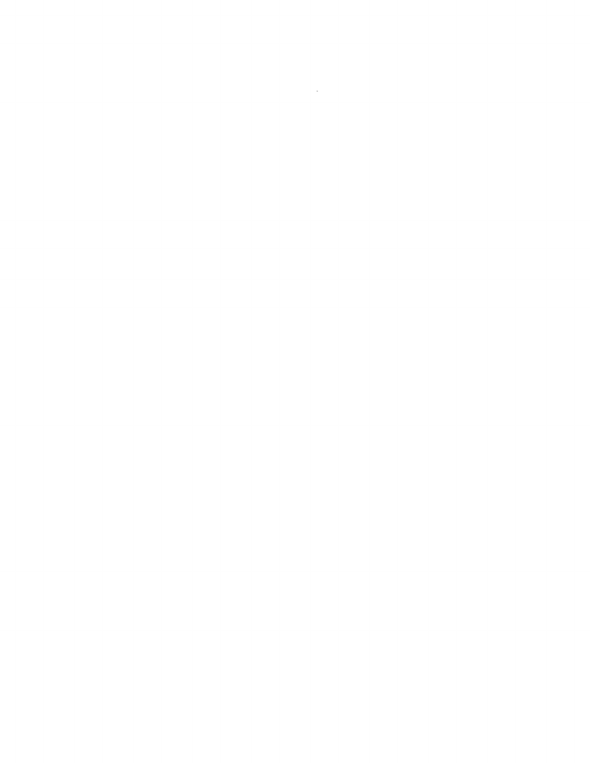$\label{eq:2.1} \frac{1}{\sqrt{2}}\int_{\mathbb{R}^3}\frac{1}{\sqrt{2}}\left(\frac{1}{\sqrt{2}}\right)^2\frac{1}{\sqrt{2}}\left(\frac{1}{\sqrt{2}}\right)^2\frac{1}{\sqrt{2}}\left(\frac{1}{\sqrt{2}}\right)^2\frac{1}{\sqrt{2}}\left(\frac{1}{\sqrt{2}}\right)^2.$